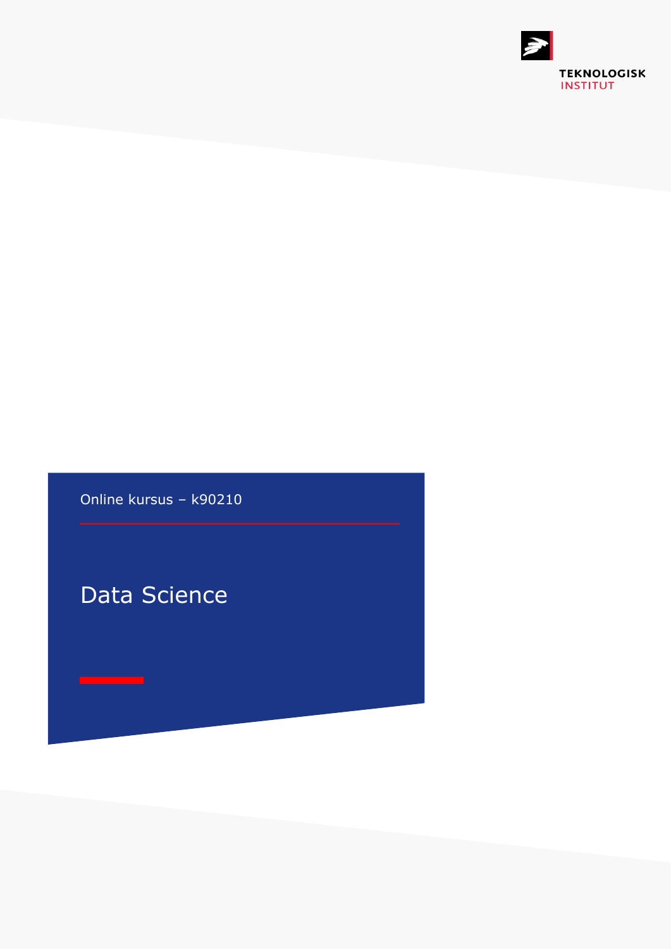

Online kursus – k90210

# Data Science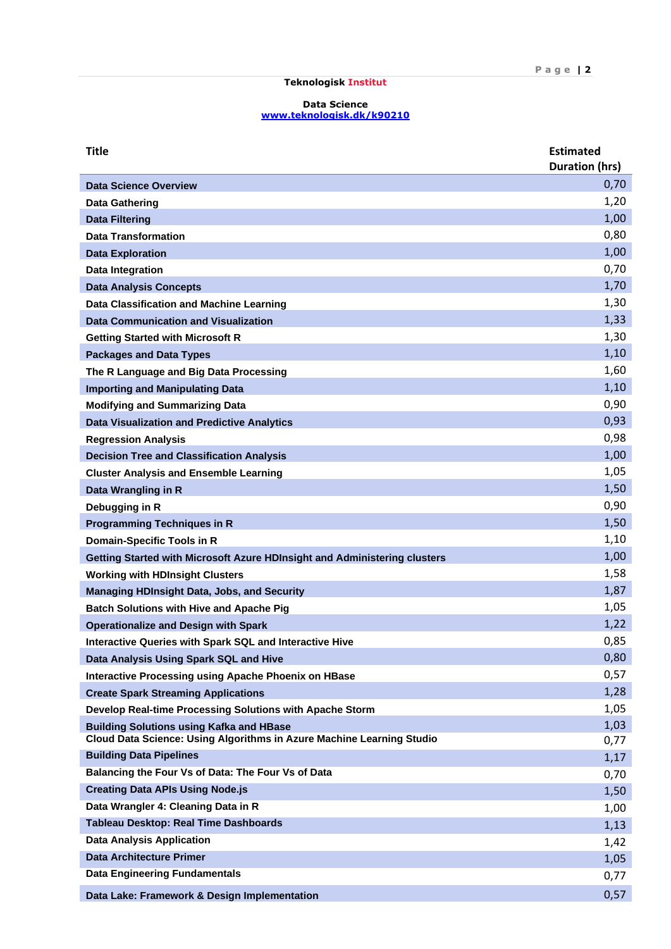# **Teknologisk Institut**

### **Data Science [www.teknologisk.dk/k9](http://www.teknologisk.dk/k)0210**

| <b>Title</b>                                                                                                             | <b>Estimated</b><br><b>Duration (hrs)</b> |
|--------------------------------------------------------------------------------------------------------------------------|-------------------------------------------|
|                                                                                                                          | 0,70                                      |
| <b>Data Science Overview</b>                                                                                             | 1,20                                      |
| Data Gathering                                                                                                           | 1,00                                      |
| <b>Data Filtering</b><br><b>Data Transformation</b>                                                                      | 0,80                                      |
| <b>Data Exploration</b>                                                                                                  | 1,00                                      |
| <b>Data Integration</b>                                                                                                  | 0,70                                      |
| <b>Data Analysis Concepts</b>                                                                                            | 1,70                                      |
| Data Classification and Machine Learning                                                                                 | 1,30                                      |
| <b>Data Communication and Visualization</b>                                                                              | 1,33                                      |
| <b>Getting Started with Microsoft R</b>                                                                                  | 1,30                                      |
| <b>Packages and Data Types</b>                                                                                           | 1,10                                      |
| The R Language and Big Data Processing                                                                                   | 1,60                                      |
| <b>Importing and Manipulating Data</b>                                                                                   | 1,10                                      |
| <b>Modifying and Summarizing Data</b>                                                                                    | 0,90                                      |
| <b>Data Visualization and Predictive Analytics</b>                                                                       | 0,93                                      |
| <b>Regression Analysis</b>                                                                                               | 0,98                                      |
| <b>Decision Tree and Classification Analysis</b>                                                                         | 1,00                                      |
| <b>Cluster Analysis and Ensemble Learning</b>                                                                            | 1,05                                      |
| Data Wrangling in R                                                                                                      | 1,50                                      |
| Debugging in R                                                                                                           | 0,90                                      |
| <b>Programming Techniques in R</b>                                                                                       | 1,50                                      |
| Domain-Specific Tools in R                                                                                               | 1,10                                      |
| Getting Started with Microsoft Azure HDInsight and Administering clusters                                                | 1,00                                      |
| <b>Working with HDInsight Clusters</b>                                                                                   | 1,58                                      |
| <b>Managing HDInsight Data, Jobs, and Security</b>                                                                       | 1,87                                      |
| <b>Batch Solutions with Hive and Apache Pig</b>                                                                          | 1,05                                      |
| <b>Operationalize and Design with Spark</b>                                                                              | 1,22                                      |
| Interactive Queries with Spark SQL and Interactive Hive                                                                  | 0,85                                      |
| Data Analysis Using Spark SQL and Hive                                                                                   | 0,80                                      |
| <b>Interactive Processing using Apache Phoenix on HBase</b>                                                              | 0,57                                      |
| <b>Create Spark Streaming Applications</b>                                                                               | 1,28                                      |
| Develop Real-time Processing Solutions with Apache Storm                                                                 | 1,05                                      |
| <b>Building Solutions using Kafka and HBase</b><br>Cloud Data Science: Using Algorithms in Azure Machine Learning Studio | 1,03                                      |
| <b>Building Data Pipelines</b>                                                                                           | 0,77                                      |
| Balancing the Four Vs of Data: The Four Vs of Data                                                                       | 1,17                                      |
| <b>Creating Data APIs Using Node.js</b>                                                                                  | 0,70                                      |
| Data Wrangler 4: Cleaning Data in R                                                                                      | 1,50                                      |
| <b>Tableau Desktop: Real Time Dashboards</b>                                                                             | 1,00                                      |
| <b>Data Analysis Application</b>                                                                                         | 1,13                                      |
| <b>Data Architecture Primer</b>                                                                                          | 1,42                                      |
| <b>Data Engineering Fundamentals</b>                                                                                     | 1,05<br>0,77                              |
|                                                                                                                          |                                           |
| Data Lake: Framework & Design Implementation                                                                             | 0,57                                      |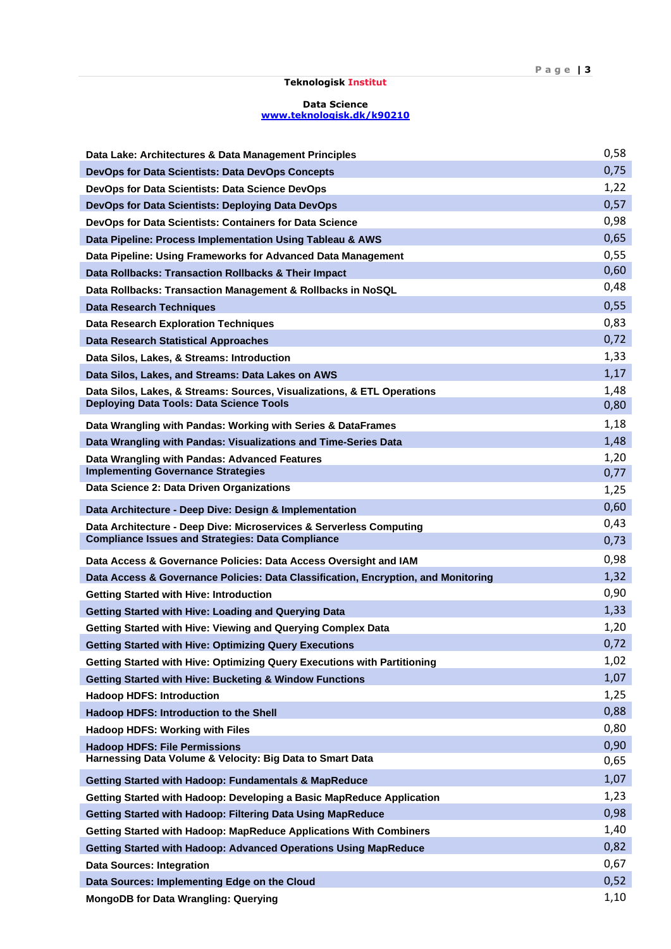## **Teknologisk Institut**

## **Data Science [www.teknologisk.dk/k9](http://www.teknologisk.dk/k)0210**

| Data Lake: Architectures & Data Management Principles                                                                           | 0,58         |
|---------------------------------------------------------------------------------------------------------------------------------|--------------|
| DevOps for Data Scientists: Data DevOps Concepts                                                                                | 0,75         |
| DevOps for Data Scientists: Data Science DevOps                                                                                 | 1,22         |
| DevOps for Data Scientists: Deploying Data DevOps                                                                               | 0,57         |
| DevOps for Data Scientists: Containers for Data Science                                                                         | 0,98         |
| Data Pipeline: Process Implementation Using Tableau & AWS                                                                       | 0,65         |
| Data Pipeline: Using Frameworks for Advanced Data Management                                                                    | 0,55         |
| Data Rollbacks: Transaction Rollbacks & Their Impact                                                                            | 0,60         |
| Data Rollbacks: Transaction Management & Rollbacks in NoSQL                                                                     | 0,48         |
| <b>Data Research Techniques</b>                                                                                                 | 0,55         |
| <b>Data Research Exploration Techniques</b>                                                                                     | 0,83         |
| <b>Data Research Statistical Approaches</b>                                                                                     | 0,72         |
| Data Silos, Lakes, & Streams: Introduction                                                                                      | 1,33         |
| Data Silos, Lakes, and Streams: Data Lakes on AWS                                                                               | 1,17         |
| Data Silos, Lakes, & Streams: Sources, Visualizations, & ETL Operations<br><b>Deploying Data Tools: Data Science Tools</b>      | 1,48         |
|                                                                                                                                 | 0,80         |
| Data Wrangling with Pandas: Working with Series & DataFrames                                                                    | 1,18         |
| Data Wrangling with Pandas: Visualizations and Time-Series Data                                                                 | 1,48         |
| Data Wrangling with Pandas: Advanced Features<br><b>Implementing Governance Strategies</b>                                      | 1,20         |
| Data Science 2: Data Driven Organizations                                                                                       | 0,77         |
|                                                                                                                                 | 1,25         |
| Data Architecture - Deep Dive: Design & Implementation                                                                          | 0,60<br>0,43 |
| Data Architecture - Deep Dive: Microservices & Serverless Computing<br><b>Compliance Issues and Strategies: Data Compliance</b> | 0,73         |
| Data Access & Governance Policies: Data Access Oversight and IAM                                                                | 0,98         |
| Data Access & Governance Policies: Data Classification, Encryption, and Monitoring                                              | 1,32         |
| <b>Getting Started with Hive: Introduction</b>                                                                                  | 0,90         |
| <b>Getting Started with Hive: Loading and Querying Data</b>                                                                     | 1,33         |
| Getting Started with Hive: Viewing and Querying Complex Data                                                                    | 1,20         |
| <b>Getting Started with Hive: Optimizing Query Executions</b>                                                                   | 0,72         |
| Getting Started with Hive: Optimizing Query Executions with Partitioning                                                        | 1,02         |
| <b>Getting Started with Hive: Bucketing &amp; Window Functions</b>                                                              | 1,07         |
| <b>Hadoop HDFS: Introduction</b>                                                                                                | 1,25         |
| Hadoop HDFS: Introduction to the Shell                                                                                          | 0,88         |
| <b>Hadoop HDFS: Working with Files</b>                                                                                          | 0,80         |
| <b>Hadoop HDFS: File Permissions</b>                                                                                            | 0,90         |
| Harnessing Data Volume & Velocity: Big Data to Smart Data                                                                       | 0,65         |
| <b>Getting Started with Hadoop: Fundamentals &amp; MapReduce</b>                                                                | 1,07         |
| Getting Started with Hadoop: Developing a Basic MapReduce Application                                                           | 1,23         |
| Getting Started with Hadoop: Filtering Data Using MapReduce                                                                     | 0,98         |
| Getting Started with Hadoop: MapReduce Applications With Combiners                                                              | 1,40         |
| Getting Started with Hadoop: Advanced Operations Using MapReduce                                                                | 0,82         |
| <b>Data Sources: Integration</b>                                                                                                | 0,67         |
| Data Sources: Implementing Edge on the Cloud                                                                                    | 0,52         |
| <b>MongoDB for Data Wrangling: Querying</b>                                                                                     | 1,10         |